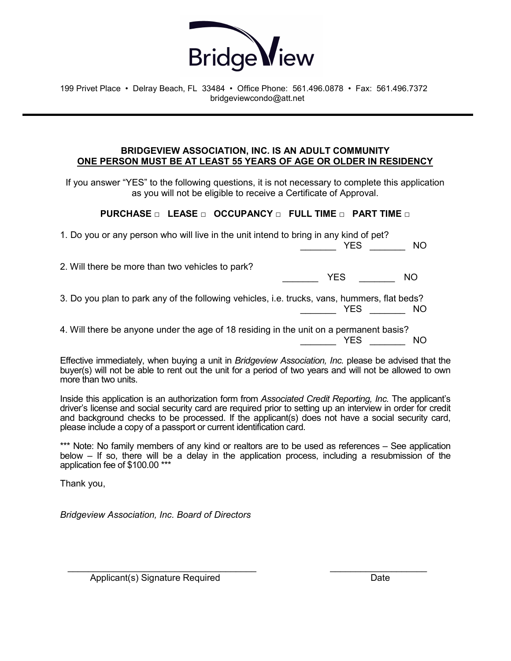

### BRIDGEVIEW ASSOCIATION, INC. IS AN ADULT COMMUNITY ONE PERSON MUST BE AT LEAST 55 YEARS OF AGE OR OLDER IN RESIDENCY

If you answer "YES" to the following questions, it is not necessary to complete this application as you will not be eligible to receive a Certificate of Approval.

### $\mathsf{PURCHASE} \cap \mathsf{LEASE} \cap \mathsf{OCCDPANCY} \cap \mathsf{FULL}\ \mathsf{TIME} \cap \mathsf{PART}\ \mathsf{TIME} \cap \mathsf{C}$

| 1. Do you or any person who will live in the unit intend to bring in any kind of pet?        | <b>NO</b><br><b>YES</b> |
|----------------------------------------------------------------------------------------------|-------------------------|
| 2. Will there be more than two vehicles to park?                                             | YES<br><b>NO</b>        |
| 3. Do you plan to park any of the following vehicles, i.e. trucks, vans, hummers, flat beds? | YES.<br>NO              |
| 4. Will there be anyone under the age of 18 residing in the unit on a permanent basis?       | YES.<br>NO.             |

Effective immediately, when buying a unit in Bridgeview Association, Inc. please be advised that the buyer(s) will not be able to rent out the unit for a period of two years and will not be allowed to own more than two units.

Inside this application is an authorization form from Associated Credit Reporting, Inc. The applicant's driver's license and social security card are required prior to setting up an interview in order for credit and background checks to be processed. If the applicant(s) does not have a social security card, please include a copy of a passport or current identification card.

\*\*\* Note: No family members of any kind or realtors are to be used as references – See application below – If so, there will be a delay in the application process, including a resubmission of the application fee of \$100.00 \*\*\*

Thank you,

Bridgeview Association, Inc. Board of Directors

Applicant(s) Signature Required Date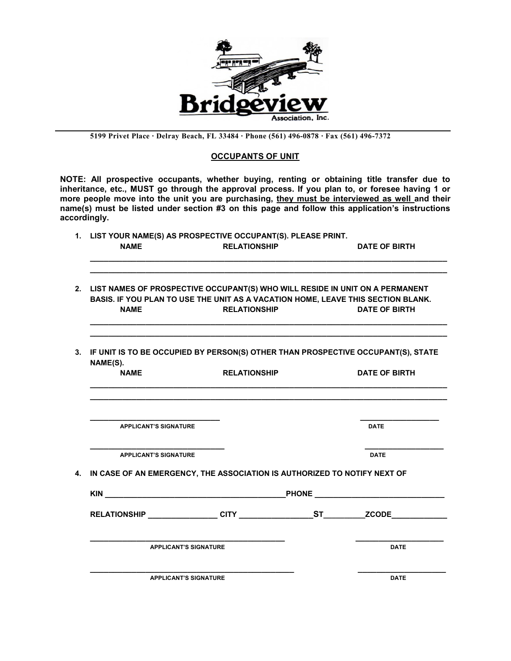

5199 Privet Place ∙ Delray Beach, FL 33484 ∙ Phone (561) 496-0878 ∙ Fax (561) 496-7372

#### OCCUPANTS OF UNIT

NOTE: All prospective occupants, whether buying, renting or obtaining title transfer due to inheritance, etc., MUST go through the approval process. If you plan to, or foresee having 1 or more people move into the unit you are purchasing, they must be interviewed as well and their name(s) must be listed under section #3 on this page and follow this application's instructions accordingly.

1. LIST YOUR NAME(S) AS PROSPECTIVE OCCUPANT(S). PLEASE PRINT. NAME RELATIONSHIP DATE OF BIRTH

 $\_$  ,  $\_$  ,  $\_$  ,  $\_$  ,  $\_$  ,  $\_$  ,  $\_$  ,  $\_$  ,  $\_$  ,  $\_$  ,  $\_$  ,  $\_$  ,  $\_$  ,  $\_$  ,  $\_$  ,  $\_$  ,  $\_$  ,  $\_$  ,  $\_$  ,  $\_$  ,  $\_$  ,  $\_$  ,  $\_$  ,  $\_$  ,  $\_$  ,  $\_$  ,  $\_$  ,  $\_$  ,  $\_$  ,  $\_$  ,  $\_$  ,  $\_$  ,  $\_$  ,  $\_$  ,  $\_$  ,  $\_$  ,  $\_$  ,  $\_$  ,  $\_$  ,  $\_$  ,  $\_$  ,  $\_$  ,  $\_$  ,  $\_$  ,  $\_$  ,  $\_$  ,  $\_$  ,  $\_$  ,  $\_$  ,  $\_$  ,  $\_$  ,  $\_$  ,  $\_$  ,  $\_$  ,  $\_$  ,  $\_$  ,  $\_$  ,  $\_$  ,  $\_$  ,  $\_$  ,  $\_$  ,  $\_$  ,  $\_$  ,  $\_$  ,  $\_$  ,  $\_$  ,  $\_$  ,  $\_$  ,  $\_$  ,  $\_$  ,  $\_$  ,  $\_$  ,  $\_$  ,  $\_$  ,

2. LIST NAMES OF PROSPECTIVE OCCUPANT(S) WHO WILL RESIDE IN UNIT ON A PERMANENT BASIS. IF YOU PLAN TO USE THE UNIT AS A VACATION HOME, LEAVE THIS SECTION BLANK. NAME RELATIONSHIP DATE OF BIRTH

 \_\_\_\_\_\_\_\_\_\_\_\_\_\_\_\_\_\_\_\_\_\_\_\_\_\_\_\_\_\_\_\_\_\_\_\_\_\_\_\_\_\_\_\_\_\_\_\_\_\_\_\_\_\_\_\_\_\_\_\_\_\_\_\_\_\_\_\_\_\_\_\_\_\_\_\_\_ \_\_\_\_\_\_\_\_\_\_\_\_\_\_\_\_\_\_\_\_\_\_\_\_\_\_\_\_\_\_\_\_\_\_\_\_\_\_\_\_\_\_\_\_\_\_\_\_\_\_\_\_\_\_\_\_\_\_\_\_\_\_\_\_\_\_\_\_\_\_\_\_\_\_\_\_\_

3. IF UNIT IS TO BE OCCUPIED BY PERSON(S) OTHER THAN PROSPECTIVE OCCUPANT(S), STATE NAME(S).

| <b>NAME</b>                  | <b>RELATIONSHIP</b>                                                                                                       | <b>DATE OF BIRTH</b> |
|------------------------------|---------------------------------------------------------------------------------------------------------------------------|----------------------|
|                              |                                                                                                                           |                      |
| <b>APPLICANT'S SIGNATURE</b> |                                                                                                                           | <b>DATE</b>          |
| <b>APPLICANT'S SIGNATURE</b> |                                                                                                                           | <b>DATE</b>          |
|                              |                                                                                                                           |                      |
|                              | 4. IN CASE OF AN EMERGENCY, THE ASSOCIATION IS AUTHORIZED TO NOTIFY NEXT OF                                               |                      |
|                              |                                                                                                                           |                      |
|                              | RELATIONSHIP _________________CITY __________________ST___________ZCODE__________                                         |                      |
|                              | the control of the control of the control of the control of the control of the control of<br><b>APPLICANT'S SIGNATURE</b> | <b>DATE</b>          |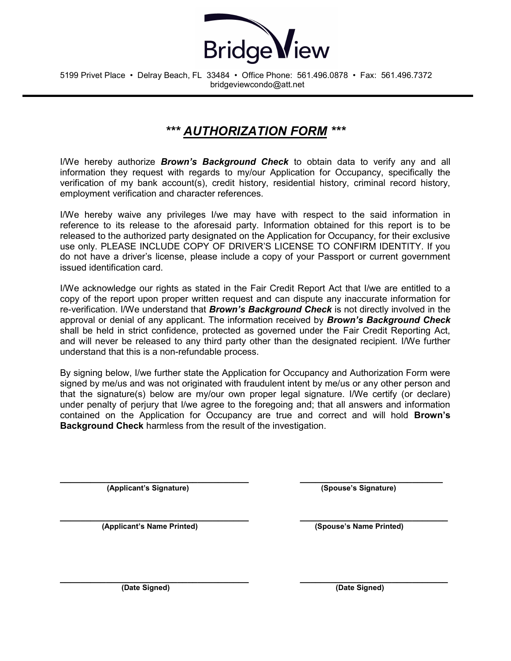

# \*\*\* AUTHORIZATION FORM \*\*\*

I/We hereby authorize **Brown's Background Check** to obtain data to verify any and all information they request with regards to my/our Application for Occupancy, specifically the verification of my bank account(s), credit history, residential history, criminal record history, employment verification and character references.

I/We hereby waive any privileges I/we may have with respect to the said information in reference to its release to the aforesaid party. Information obtained for this report is to be released to the authorized party designated on the Application for Occupancy, for their exclusive use only. PLEASE INCLUDE COPY OF DRIVER'S LICENSE TO CONFIRM IDENTITY. If you do not have a driver's license, please include a copy of your Passport or current government issued identification card.

I/We acknowledge our rights as stated in the Fair Credit Report Act that I/we are entitled to a copy of the report upon proper written request and can dispute any inaccurate information for re-verification. I/We understand that **Brown's Background Check** is not directly involved in the approval or denial of any applicant. The information received by **Brown's Background Check** shall be held in strict confidence, protected as governed under the Fair Credit Reporting Act, and will never be released to any third party other than the designated recipient. I/We further understand that this is a non-refundable process.

By signing below, I/we further state the Application for Occupancy and Authorization Form were signed by me/us and was not originated with fraudulent intent by me/us or any other person and that the signature(s) below are my/our own proper legal signature. I/We certify (or declare) under penalty of perjury that I/we agree to the foregoing and; that all answers and information contained on the Application for Occupancy are true and correct and will hold Brown's Background Check harmless from the result of the investigation.

 $\_$  , and the set of the set of the set of the set of the set of the set of the set of the set of the set of the set of the set of the set of the set of the set of the set of the set of the set of the set of the set of th (Applicant's Signature) (Spouse's Signature)

 $\_$ (Applicant's Name Printed) (Spouse's Name Printed)

 $\_$  , and the set of the set of the set of the set of the set of the set of the set of the set of the set of the set of the set of the set of the set of the set of the set of the set of the set of the set of the set of th (Date Signed) (Date Signed)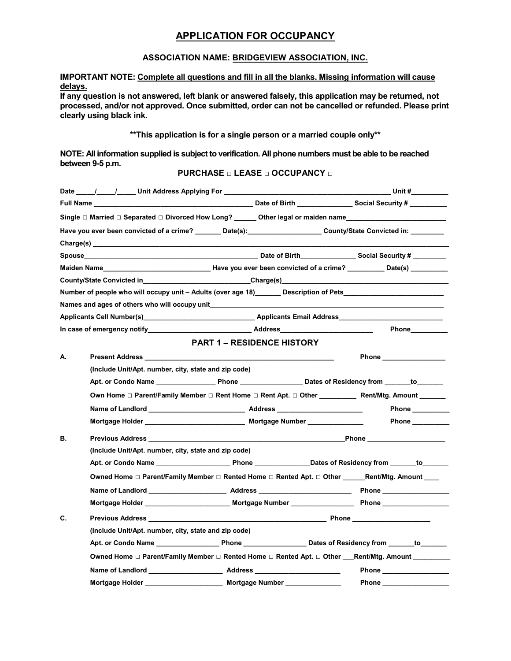## APPLICATION FOR OCCUPANCY

#### ASSOCIATION NAME: BRIDGEVIEW ASSOCIATION, INC.

IMPORTANT NOTE: Complete all questions and fill in all the blanks. Missing information will cause delays.

If any question is not answered, left blank or answered falsely, this application may be returned, not processed, and/or not approved. Once submitted, order can not be cancelled or refunded. Please print clearly using black ink.

\*\*This application is for a single person or a married couple only\*\*

NOTE: All information supplied is subject to verification. All phone numbers must be able to be reached between 9-5 p.m.

PURCHASE □ LEASE □ OCCUPANCY □

|    | Single □ Married □ Separated □ Divorced How Long? ______ Other legal or maiden name___________________________                                                                                                                 |                                   |                            |
|----|--------------------------------------------------------------------------------------------------------------------------------------------------------------------------------------------------------------------------------|-----------------------------------|----------------------------|
|    | Have you ever been convicted of a crime? _______ Date(s): _____________________County/State Convicted in: _________                                                                                                            |                                   |                            |
|    |                                                                                                                                                                                                                                |                                   |                            |
|    | <b>Spouse contracts</b>                                                                                                                                                                                                        |                                   |                            |
|    | Maiden Name Late (s) Late (s) Late (s) Late (s) Late (s) Late (s) Late (s) Late (s) Late (s) Late (s) Late (s) Late (s) Late (s) Late (s) Late (s) Late (s) Late (s) Late (s) Late (s) Late (s) Late (s) Late (s) Late (s) Lat |                                   |                            |
|    |                                                                                                                                                                                                                                |                                   |                            |
|    | Number of people who will occupy unit - Adults (over age 18) Description of Pets                                                                                                                                               |                                   |                            |
|    |                                                                                                                                                                                                                                |                                   |                            |
|    |                                                                                                                                                                                                                                |                                   |                            |
|    | In case of emergency notify_____________________________Address__________________                                                                                                                                              |                                   | <b>Phone</b>               |
|    |                                                                                                                                                                                                                                | <b>PART 1 – RESIDENCE HISTORY</b> |                            |
| А. |                                                                                                                                                                                                                                |                                   | Phone __________________   |
|    | (Include Unit/Apt. number, city, state and zip code)                                                                                                                                                                           |                                   |                            |
|    |                                                                                                                                                                                                                                |                                   |                            |
|    | Own Home □ Parent/Family Member □ Rent Home □ Rent Apt. □ Other ___________ Rent/Mtg. Amount ______                                                                                                                            |                                   |                            |
|    | Name of Landlord ___________________________________Address ____________________                                                                                                                                               |                                   | <b>Phone Contract 1999</b> |
|    |                                                                                                                                                                                                                                |                                   | Phone _________            |
| В. |                                                                                                                                                                                                                                |                                   |                            |
|    | (Include Unit/Apt. number, city, state and zip code)                                                                                                                                                                           |                                   |                            |
|    |                                                                                                                                                                                                                                |                                   |                            |
|    | Owned Home □ Parent/Family Member □ Rented Home □ Rented Apt. □ Other ______Rent/Mtg. Amount ____                                                                                                                              |                                   |                            |
|    |                                                                                                                                                                                                                                |                                   |                            |
|    |                                                                                                                                                                                                                                |                                   |                            |
| C. |                                                                                                                                                                                                                                |                                   |                            |
|    | (Include Unit/Apt. number, city, state and zip code)                                                                                                                                                                           |                                   |                            |
|    |                                                                                                                                                                                                                                |                                   |                            |
|    | Owned Home □ Parent/Family Member □ Rented Home □ Rented Apt. □ Other ___Rent/Mtg. Amount ________                                                                                                                             |                                   |                            |
|    |                                                                                                                                                                                                                                |                                   |                            |
|    | Mortgage Holder                                                                                                                                                                                                                | <b>Mortgage Number</b>            | Phone_                     |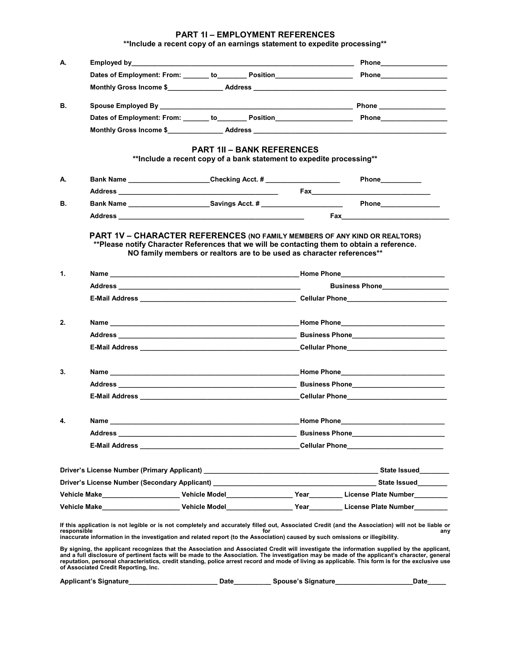#### PART 1I – EMPLOYMENT REFERENCES

\*\*Include a recent copy of an earnings statement to expedite processing\*\*

| А.          |                                                                                                                                                                           |                                                                                                           | <u> 1989 - Andrea Stadt Britain, mensk politik en og større og det blev til større og en område og større og stør</u> |                                                                                                                                                                                                                                                                                                                                                                                                                                                  |
|-------------|---------------------------------------------------------------------------------------------------------------------------------------------------------------------------|-----------------------------------------------------------------------------------------------------------|-----------------------------------------------------------------------------------------------------------------------|--------------------------------------------------------------------------------------------------------------------------------------------------------------------------------------------------------------------------------------------------------------------------------------------------------------------------------------------------------------------------------------------------------------------------------------------------|
|             |                                                                                                                                                                           |                                                                                                           |                                                                                                                       | Dates of Employment: From: ______ to________ Position___________________________ Phone____________________                                                                                                                                                                                                                                                                                                                                       |
|             |                                                                                                                                                                           |                                                                                                           |                                                                                                                       |                                                                                                                                                                                                                                                                                                                                                                                                                                                  |
| В.          |                                                                                                                                                                           |                                                                                                           |                                                                                                                       |                                                                                                                                                                                                                                                                                                                                                                                                                                                  |
|             |                                                                                                                                                                           |                                                                                                           |                                                                                                                       | Dates of Employment: From: ______ to________ Position___________________________ Phone_______________________                                                                                                                                                                                                                                                                                                                                    |
|             |                                                                                                                                                                           |                                                                                                           |                                                                                                                       | Monthly Gross Income \$__________________Address _________________________________                                                                                                                                                                                                                                                                                                                                                               |
|             |                                                                                                                                                                           |                                                                                                           |                                                                                                                       |                                                                                                                                                                                                                                                                                                                                                                                                                                                  |
|             |                                                                                                                                                                           | <b>PART 1II – BANK REFERENCES</b><br>**Include a recent copy of a bank statement to expedite processing** |                                                                                                                       |                                                                                                                                                                                                                                                                                                                                                                                                                                                  |
| А.          | Bank Name ______________________________Checking Acct. # _______________________                                                                                          |                                                                                                           |                                                                                                                       | Phone___________                                                                                                                                                                                                                                                                                                                                                                                                                                 |
|             |                                                                                                                                                                           |                                                                                                           |                                                                                                                       |                                                                                                                                                                                                                                                                                                                                                                                                                                                  |
| В.          |                                                                                                                                                                           |                                                                                                           |                                                                                                                       |                                                                                                                                                                                                                                                                                                                                                                                                                                                  |
|             |                                                                                                                                                                           |                                                                                                           |                                                                                                                       |                                                                                                                                                                                                                                                                                                                                                                                                                                                  |
|             | PART 1V - CHARACTER REFERENCES (NO FAMILY MEMBERS OF ANY KIND OR REALTORS)<br>**Please notify Character References that we will be contacting them to obtain a reference. | NO family members or realtors are to be used as character references**                                    |                                                                                                                       |                                                                                                                                                                                                                                                                                                                                                                                                                                                  |
| 1.          |                                                                                                                                                                           |                                                                                                           |                                                                                                                       |                                                                                                                                                                                                                                                                                                                                                                                                                                                  |
|             |                                                                                                                                                                           |                                                                                                           |                                                                                                                       | Business Phone_________________                                                                                                                                                                                                                                                                                                                                                                                                                  |
|             |                                                                                                                                                                           |                                                                                                           |                                                                                                                       |                                                                                                                                                                                                                                                                                                                                                                                                                                                  |
|             |                                                                                                                                                                           |                                                                                                           |                                                                                                                       |                                                                                                                                                                                                                                                                                                                                                                                                                                                  |
| 2.          |                                                                                                                                                                           |                                                                                                           |                                                                                                                       |                                                                                                                                                                                                                                                                                                                                                                                                                                                  |
|             |                                                                                                                                                                           |                                                                                                           |                                                                                                                       |                                                                                                                                                                                                                                                                                                                                                                                                                                                  |
|             |                                                                                                                                                                           |                                                                                                           |                                                                                                                       |                                                                                                                                                                                                                                                                                                                                                                                                                                                  |
| 3.          |                                                                                                                                                                           |                                                                                                           |                                                                                                                       |                                                                                                                                                                                                                                                                                                                                                                                                                                                  |
|             | Address _____________________                                                                                                                                             |                                                                                                           |                                                                                                                       |                                                                                                                                                                                                                                                                                                                                                                                                                                                  |
|             |                                                                                                                                                                           |                                                                                                           |                                                                                                                       |                                                                                                                                                                                                                                                                                                                                                                                                                                                  |
| 4.          |                                                                                                                                                                           |                                                                                                           |                                                                                                                       | Name <b>Name is a set of the contract of the Contract of the Contract of the Contract of the Contract of the Contract of the Contract of the Contract of the Contract of the Contract of the Contract of the Contract of the Con</b>                                                                                                                                                                                                             |
|             | Address                                                                                                                                                                   |                                                                                                           |                                                                                                                       |                                                                                                                                                                                                                                                                                                                                                                                                                                                  |
|             |                                                                                                                                                                           |                                                                                                           |                                                                                                                       |                                                                                                                                                                                                                                                                                                                                                                                                                                                  |
|             |                                                                                                                                                                           |                                                                                                           |                                                                                                                       |                                                                                                                                                                                                                                                                                                                                                                                                                                                  |
|             |                                                                                                                                                                           |                                                                                                           |                                                                                                                       |                                                                                                                                                                                                                                                                                                                                                                                                                                                  |
|             |                                                                                                                                                                           |                                                                                                           |                                                                                                                       | Driver's License Number (Secondary Applicant) Network and State Issued State Issued                                                                                                                                                                                                                                                                                                                                                              |
|             |                                                                                                                                                                           |                                                                                                           |                                                                                                                       |                                                                                                                                                                                                                                                                                                                                                                                                                                                  |
|             |                                                                                                                                                                           |                                                                                                           |                                                                                                                       | Vehicle Make_______________________Vehicle Model________________Year_________License Plate Number_________                                                                                                                                                                                                                                                                                                                                       |
| responsible | inaccurate information in the investigation and related report (to the Association) caused by such omissions or illegibility.                                             |                                                                                                           | for                                                                                                                   | If this application is not legible or is not completely and accurately filled out, Associated Credit (and the Association) will not be liable or<br>any                                                                                                                                                                                                                                                                                          |
|             | of Associated Credit Reporting, Inc.                                                                                                                                      |                                                                                                           |                                                                                                                       | By signing, the applicant recognizes that the Association and Associated Credit will investigate the information supplied by the applicant,<br>and a full disclosure of pertinent facts will be made to the Association. The investigation may be made of the applicant's character, general<br>reputation, personal characteristics, credit standing, police arrest record and mode of living as applicable. This form is for the exclusive use |

Applicant's Signature\_\_\_\_\_\_\_\_\_\_\_\_\_\_\_\_\_\_\_\_\_\_\_\_ Date\_\_\_\_\_\_\_\_\_\_ Spouse's Signature\_\_\_\_\_\_\_\_\_\_\_\_\_\_\_\_\_\_\_\_\_Date\_\_\_\_\_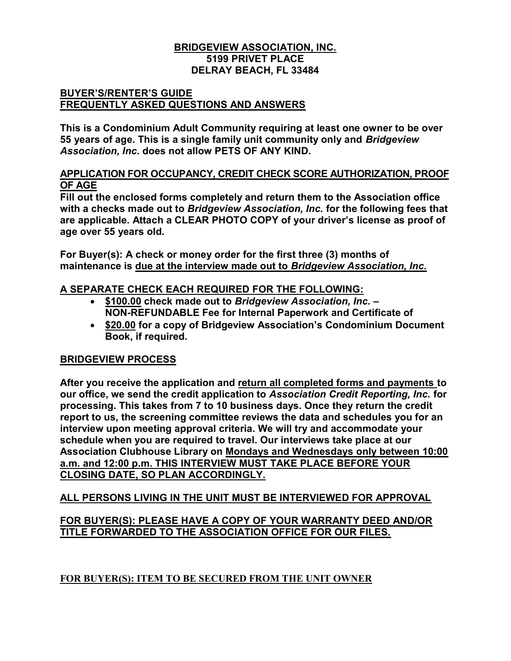# BRIDGEVIEW ASSOCIATION, INC. 5199 PRIVET PLACE DELRAY BEACH, FL 33484

### BUYER'S/RENTER'S GUIDE FREQUENTLY ASKED QUESTIONS AND ANSWERS

This is a Condominium Adult Community requiring at least one owner to be over 55 years of age. This is a single family unit community only and Bridgeview Association, Inc. does not allow PETS OF ANY KIND.

# APPLICATION FOR OCCUPANCY, CREDIT CHECK SCORE AUTHORIZATION, PROOF OF AGE

Fill out the enclosed forms completely and return them to the Association office with a checks made out to *Bridgeview Association, Inc.* for the following fees that are applicable. Attach a CLEAR PHOTO COPY of your driver's license as proof of age over 55 years old.

For Buyer(s): A check or money order for the first three (3) months of maintenance is due at the interview made out to Bridgeview Association, Inc.

# A SEPARATE CHECK EACH REQUIRED FOR THE FOLLOWING:

- \$100.00 check made out to Bridgeview Association, Inc. -NON-REFUNDABLE Fee for Internal Paperwork and Certificate of
- \$20.00 for a copy of Bridgeview Association's Condominium Document Book, if required.

# BRIDGEVIEW PROCESS

After you receive the application and return all completed forms and payments to our office, we send the credit application to Association Credit Reporting, Inc. for processing. This takes from 7 to 10 business days. Once they return the credit report to us, the screening committee reviews the data and schedules you for an interview upon meeting approval criteria. We will try and accommodate your schedule when you are required to travel. Our interviews take place at our Association Clubhouse Library on Mondays and Wednesdays only between 10:00 a.m. and 12:00 p.m. THIS INTERVIEW MUST TAKE PLACE BEFORE YOUR CLOSING DATE, SO PLAN ACCORDINGLY.

ALL PERSONS LIVING IN THE UNIT MUST BE INTERVIEWED FOR APPROVAL

FOR BUYER(S): PLEASE HAVE A COPY OF YOUR WARRANTY DEED AND/OR TITLE FORWARDED TO THE ASSOCIATION OFFICE FOR OUR FILES.

FOR BUYER(S): ITEM TO BE SECURED FROM THE UNIT OWNER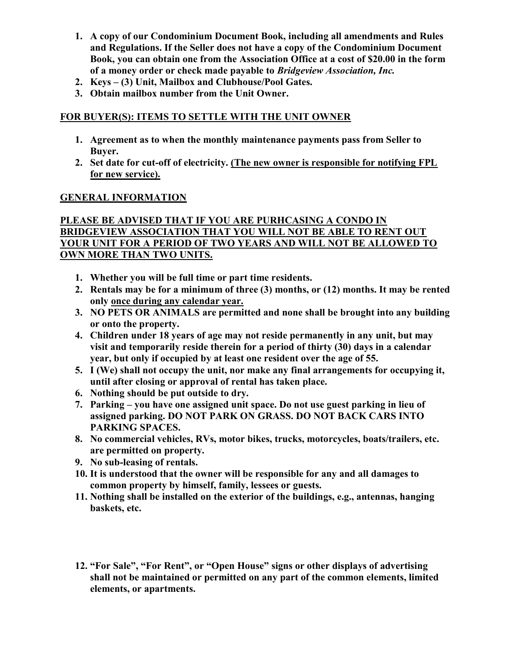- 1. A copy of our Condominium Document Book, including all amendments and Rules and Regulations. If the Seller does not have a copy of the Condominium Document Book, you can obtain one from the Association Office at a cost of \$20.00 in the form of a money order or check made payable to Bridgeview Association, Inc.
- 2. Keys (3) Unit, Mailbox and Clubhouse/Pool Gates.
- 3. Obtain mailbox number from the Unit Owner.

## FOR BUYER(S): ITEMS TO SETTLE WITH THE UNIT OWNER

- 1. Agreement as to when the monthly maintenance payments pass from Seller to Buyer.
- 2. Set date for cut-off of electricity. (The new owner is responsible for notifying FPL for new service).

## GENERAL INFORMATION

## PLEASE BE ADVISED THAT IF YOU ARE PURHCASING A CONDO IN BRIDGEVIEW ASSOCIATION THAT YOU WILL NOT BE ABLE TO RENT OUT YOUR UNIT FOR A PERIOD OF TWO YEARS AND WILL NOT BE ALLOWED TO OWN MORE THAN TWO UNITS.

- 1. Whether you will be full time or part time residents.
- 2. Rentals may be for a minimum of three (3) months, or (12) months. It may be rented only once during any calendar year.
- 3. NO PETS OR ANIMALS are permitted and none shall be brought into any building or onto the property.
- 4. Children under 18 years of age may not reside permanently in any unit, but may visit and temporarily reside therein for a period of thirty (30) days in a calendar year, but only if occupied by at least one resident over the age of 55.
- 5. I (We) shall not occupy the unit, nor make any final arrangements for occupying it, until after closing or approval of rental has taken place.
- 6. Nothing should be put outside to dry.
- 7. Parking you have one assigned unit space. Do not use guest parking in lieu of assigned parking. DO NOT PARK ON GRASS. DO NOT BACK CARS INTO PARKING SPACES.
- 8. No commercial vehicles, RVs, motor bikes, trucks, motorcycles, boats/trailers, etc. are permitted on property.
- 9. No sub-leasing of rentals.
- 10. It is understood that the owner will be responsible for any and all damages to common property by himself, family, lessees or guests.
- 11. Nothing shall be installed on the exterior of the buildings, e.g., antennas, hanging baskets, etc.
- 12. "For Sale", "For Rent", or "Open House" signs or other displays of advertising shall not be maintained or permitted on any part of the common elements, limited elements, or apartments.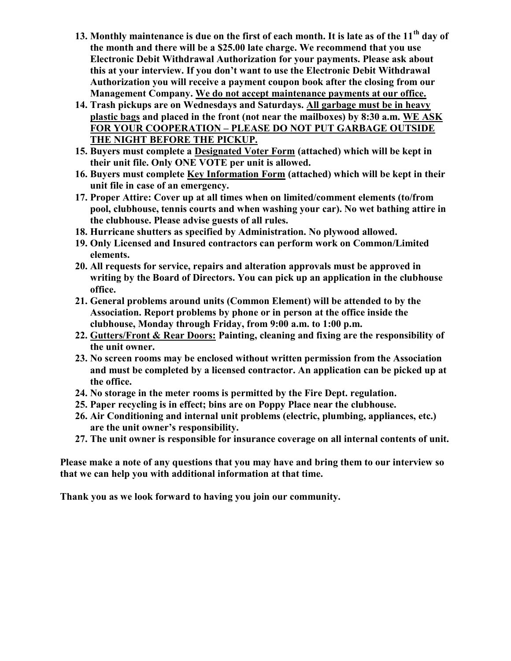- 13. Monthly maintenance is due on the first of each month. It is late as of the  $11<sup>th</sup>$  day of the month and there will be a \$25.00 late charge. We recommend that you use Electronic Debit Withdrawal Authorization for your payments. Please ask about this at your interview. If you don't want to use the Electronic Debit Withdrawal Authorization you will receive a payment coupon book after the closing from our Management Company. We do not accept maintenance payments at our office.
- 14. Trash pickups are on Wednesdays and Saturdays. All garbage must be in heavy plastic bags and placed in the front (not near the mailboxes) by 8:30 a.m. WE ASK FOR YOUR COOPERATION – PLEASE DO NOT PUT GARBAGE OUTSIDE THE NIGHT BEFORE THE PICKUP.
- 15. Buyers must complete a Designated Voter Form (attached) which will be kept in their unit file. Only ONE VOTE per unit is allowed.
- 16. Buyers must complete Key Information Form (attached) which will be kept in their unit file in case of an emergency.
- 17. Proper Attire: Cover up at all times when on limited/comment elements (to/from pool, clubhouse, tennis courts and when washing your car). No wet bathing attire in the clubhouse. Please advise guests of all rules.
- 18. Hurricane shutters as specified by Administration. No plywood allowed.
- 19. Only Licensed and Insured contractors can perform work on Common/Limited elements.
- 20. All requests for service, repairs and alteration approvals must be approved in writing by the Board of Directors. You can pick up an application in the clubhouse office.
- 21. General problems around units (Common Element) will be attended to by the Association. Report problems by phone or in person at the office inside the clubhouse, Monday through Friday, from 9:00 a.m. to 1:00 p.m.
- 22. Gutters/Front & Rear Doors: Painting, cleaning and fixing are the responsibility of the unit owner.
- 23. No screen rooms may be enclosed without written permission from the Association and must be completed by a licensed contractor. An application can be picked up at the office.
- 24. No storage in the meter rooms is permitted by the Fire Dept. regulation.
- 25. Paper recycling is in effect; bins are on Poppy Place near the clubhouse.
- 26. Air Conditioning and internal unit problems (electric, plumbing, appliances, etc.) are the unit owner's responsibility.
- 27. The unit owner is responsible for insurance coverage on all internal contents of unit.

Please make a note of any questions that you may have and bring them to our interview so that we can help you with additional information at that time.

Thank you as we look forward to having you join our community.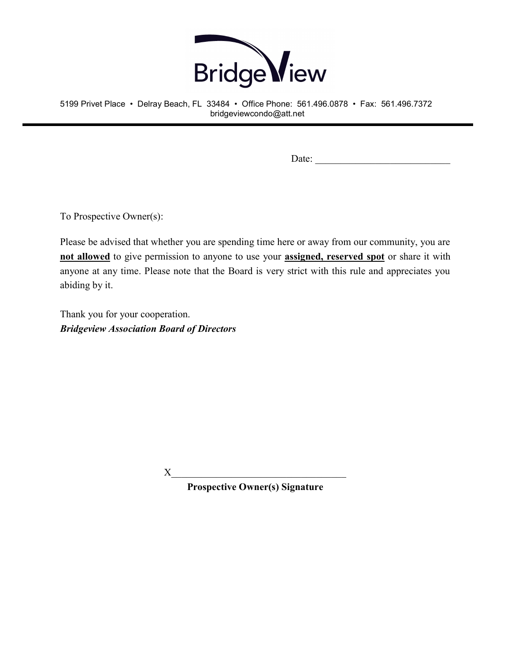

Date: \_\_\_\_\_\_\_\_\_\_\_\_\_\_\_\_\_\_\_\_\_\_\_\_\_\_\_

To Prospective Owner(s):

Please be advised that whether you are spending time here or away from our community, you are not allowed to give permission to anyone to use your **assigned, reserved spot** or share it with anyone at any time. Please note that the Board is very strict with this rule and appreciates you abiding by it.

Thank you for your cooperation. Bridgeview Association Board of Directors

 $X$ 

Prospective Owner(s) Signature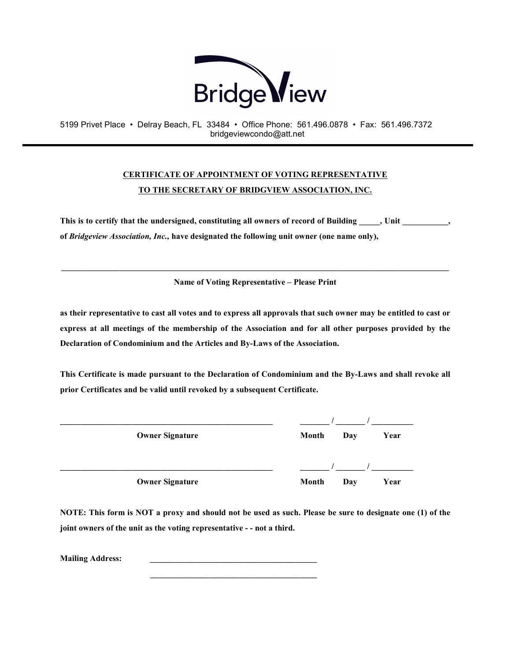

# CERTIFICATE OF APPOINTMENT OF VOTING REPRESENTATIVE TO THE SECRETARY OF BRIDGVIEW ASSOCIATION, INC.

This is to certify that the undersigned, constituting all owners of record of Building  $\qquad \qquad$ , Unit  $\qquad \qquad$ , of Bridgeview Association, Inc., have designated the following unit owner (one name only),

Name of Voting Representative – Please Print

as their representative to cast all votes and to express all approvals that such owner may be entitled to cast or express at all meetings of the membership of the Association and for all other purposes provided by the Declaration of Condominium and the Articles and By-Laws of the Association.

This Certificate is made pursuant to the Declaration of Condominium and the By-Laws and shall revoke all prior Certificates and be valid until revoked by a subsequent Certificate.

| <b>Owner Signature</b> | Month<br>Year<br>Day |  |
|------------------------|----------------------|--|
|                        |                      |  |
|                        |                      |  |
| <b>Owner Signature</b> | Month<br>Year<br>Day |  |
|                        |                      |  |

NOTE: This form is NOT a proxy and should not be used as such. Please be sure to designate one (1) of the joint owners of the unit as the voting representative - - not a third.

 $\mathcal{L}_\text{max}$  and  $\mathcal{L}_\text{max}$  and  $\mathcal{L}_\text{max}$  and  $\mathcal{L}_\text{max}$ 

Mailing Address: